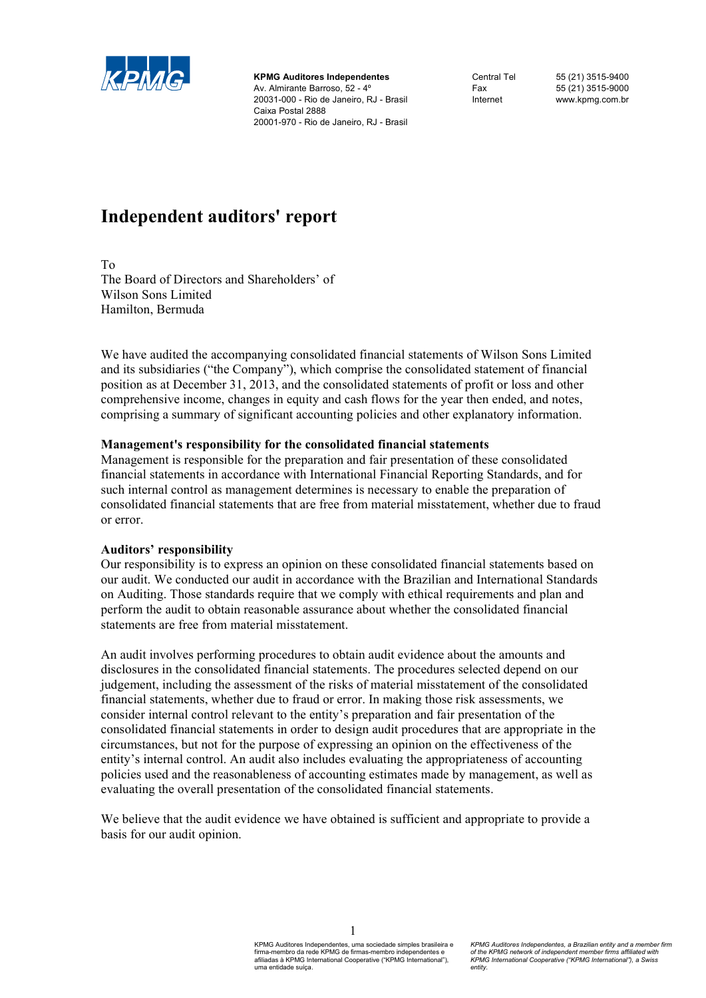

**KPMG Auditores Independentes**  Av. Almirante Barroso, 52 - 4º 20031-000 - Rio de Janeiro, RJ - Brasil Caixa Postal 2888 20001-970 - Rio de Janeiro, RJ - Brasil

Central Tel 55 (21) 3515-9400 Fax 55 (21) 3515-9000 Internet www.kpmg.com.br

# **Independent auditors' report**

To

The Board of Directors and Shareholders' of Wilson Sons Limited Hamilton, Bermuda

We have audited the accompanying consolidated financial statements of Wilson Sons Limited and its subsidiaries ("the Company"), which comprise the consolidated statement of financial position as at December 31, 2013, and the consolidated statements of profit or loss and other comprehensive income, changes in equity and cash flows for the year then ended, and notes, comprising a summary of significant accounting policies and other explanatory information.

# **Management's responsibility for the consolidated financial statements**

Management is responsible for the preparation and fair presentation of these consolidated financial statements in accordance with International Financial Reporting Standards, and for such internal control as management determines is necessary to enable the preparation of consolidated financial statements that are free from material misstatement, whether due to fraud or error.

#### **Auditors' responsibility**

Our responsibility is to express an opinion on these consolidated financial statements based on our audit. We conducted our audit in accordance with the Brazilian and International Standards on Auditing. Those standards require that we comply with ethical requirements and plan and perform the audit to obtain reasonable assurance about whether the consolidated financial statements are free from material misstatement.

An audit involves performing procedures to obtain audit evidence about the amounts and disclosures in the consolidated financial statements. The procedures selected depend on our judgement, including the assessment of the risks of material misstatement of the consolidated financial statements, whether due to fraud or error. In making those risk assessments, we consider internal control relevant to the entity's preparation and fair presentation of the consolidated financial statements in order to design audit procedures that are appropriate in the circumstances, but not for the purpose of expressing an opinion on the effectiveness of the entity's internal control. An audit also includes evaluating the appropriateness of accounting policies used and the reasonableness of accounting estimates made by management, as well as evaluating the overall presentation of the consolidated financial statements.

We believe that the audit evidence we have obtained is sufficient and appropriate to provide a basis for our audit opinion.

1